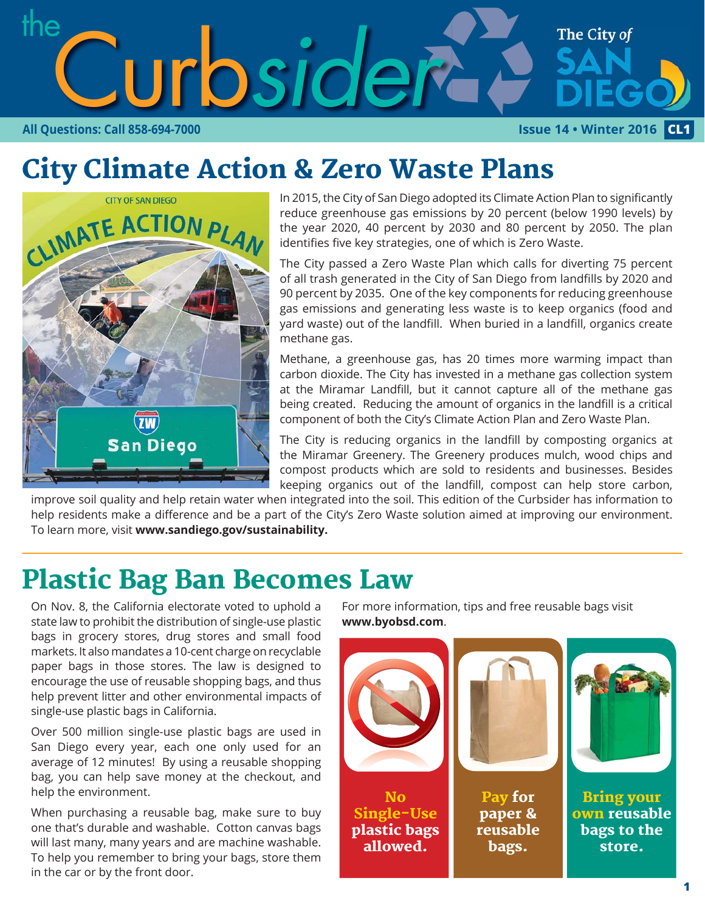

# City Climate Action & Zero Waste Plans



In 2015, the City of San Diego adopted its Climate Action Plan to significantly reduce greenhouse gas emissions by 20 percent (below 1990 levels) by the year 2020, 40 percent by 2030 and 80 percent by 2050. The plan identifies five key strategies, one of which is Zero Waste.

The City passed a Zero Waste Plan which calls for diverting 75 percent of all trash generated in the City of San Diego from landfills by 2020 and 90 percent by 2035. One of the key components for reducing greenhouse gas emissions and generating less waste is to keep organics (food and yard waste) out of the landfill. When buried in a landfill, organics create methane gas.

Methane, a greenhouse gas, has 20 times more warming impact than carbon dioxide. The City has invested in a methane gas collection system at the Miramar Landfill, but it cannot capture all of the methane gas being created. Reducing the amount of organics in the landfill is a critical component of both the City's Climate Action Plan and Zero Waste Plan.

The City is reducing organics in the landfill by composting organics at the Miramar Greenery. The Greenery produces mulch, wood chips and compost products which are sold to residents and businesses. Besides keeping organics out of the landfill, compost can help store carbon,

improve soil quality and help retain water when integrated into the soil. This edition of the Curbsider has information to help residents make a difference and be a part of the City's Zero Waste solution aimed at improving our environment. To learn more, visit **www.sandiego.gov/sustainability.**

## Plastic Bag Ban Becomes Law

On Nov. 8, the California electorate voted to uphold a state law to prohibit the distribution of single-use plastic bags in grocery stores, drug stores and small food markets. It also mandates a 10-cent charge on recyclable paper bags in those stores. The law is designed to encourage the use of reusable shopping bags, and thus help prevent litter and other environmental impacts of single-use plastic bags in California.

Over 500 million single-use plastic bags are used in San Diego every year, each one only used for an average of 12 minutes! By using a reusable shopping bag, you can help save money at the checkout, and help the environment.

When purchasing a reusable bag, make sure to buy one that's durable and washable. Cotton canvas bags will last many, many years and are machine washable. To help you remember to bring your bags, store them in the car or by the front door.

For more information, tips and free reusable bags visit **www.byobsd.com**.

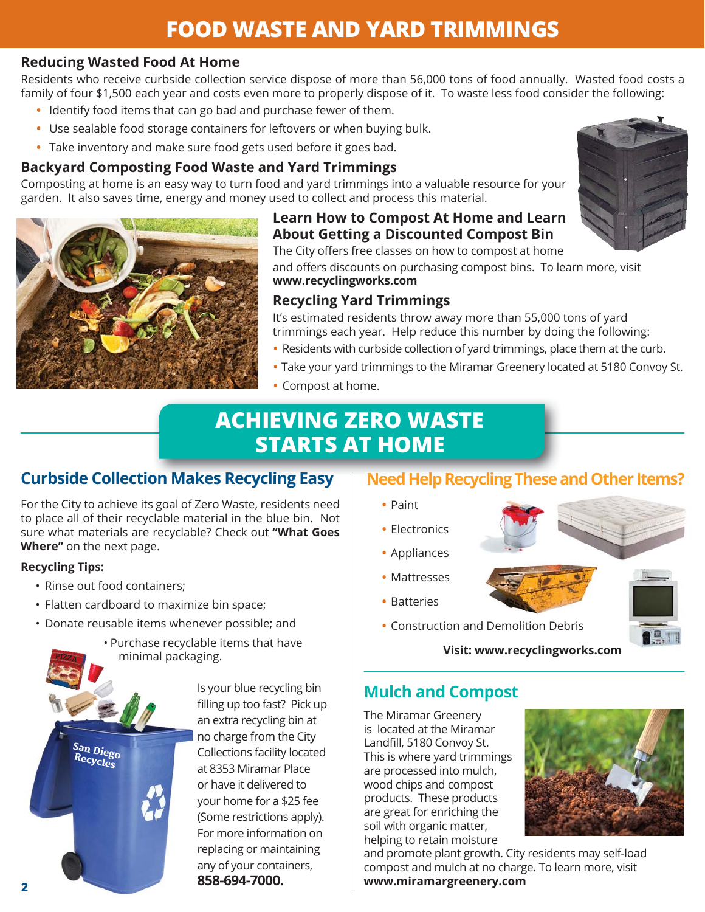## **FOOD WASTE AND YARD TRIMMINGS**

#### **Reducing Wasted Food At Home**

Residents who receive curbside collection service dispose of more than 56,000 tons of food annually. Wasted food costs a family of four \$1,500 each year and costs even more to properly dispose of it. To waste less food consider the following:

- Identify food items that can go bad and purchase fewer of them.
- Use sealable food storage containers for leftovers or when buying bulk.
- Take inventory and make sure food gets used before it goes bad.

### **Backyard Composting Food Waste and Yard Trimmings**

Composting at home is an easy way to turn food and yard trimmings into a valuable resource for your garden. It also saves time, energy and money used to collect and process this material.



## **Learn How to Compost At Home and Learn About Getting a Discounted Compost Bin**

The City offers free classes on how to compost at home

and offers discounts on purchasing compost bins. To learn more, visit **www.recyclingworks.com** 

## **Recycling Yard Trimmings**

It's estimated residents throw away more than 55,000 tons of yard trimmings each year. Help reduce this number by doing the following:

- Residents with curbside collection of yard trimmings, place them at the curb.
- Take your yard trimmings to the Miramar Greenery located at 5180 Convoy St.
- Compost at home.

## **ACHIEVING ZERO WASTE STARTS AT HOME**

## **Curbside Collection Makes Recycling Easy | Need Help Recycling Th**

For the City to achieve its goal of Zero Waste, residents need to place all of their recyclable material in the blue bin. Not sure what materials are recyclable? Check out "What Goes **Where"** on the next page.

#### **Recycling Tips:**

<sup>P</sup>IZZA

- Rinse out food containers;
- Flatten cardboard to maximize bin space;
- Donate reusable items whenever possible; and





Is your blue recycling bin filling up too fast? Pick up an extra recycling bin at no charge from the City Collections facility located at 8353 Miramar Place or have it delivered to your home for a \$25 fee (Some restrictions apply). For more information on replacing or maintaining any of your containers,

## **Need Help Recycling These and Other Items?**

- Paint
- Electronics
- Appliances
- Mattresses
- Batteries
- Construction and Demolition Debris

**Visit: www.recyclingworks.com**

## **Mulch and Compost**

The Miramar Greenery is located at the Miramar Landfill, 5180 Convoy St. This is where yard trimmings are processed into mulch, wood chips and compost products. These products are great for enriching the soil with organic matter, helping to retain moisture



**Q** 

and promote plant growth. City residents may self-load compost and mulch at no charge. To learn more, visit **www.miramargreenery.com**